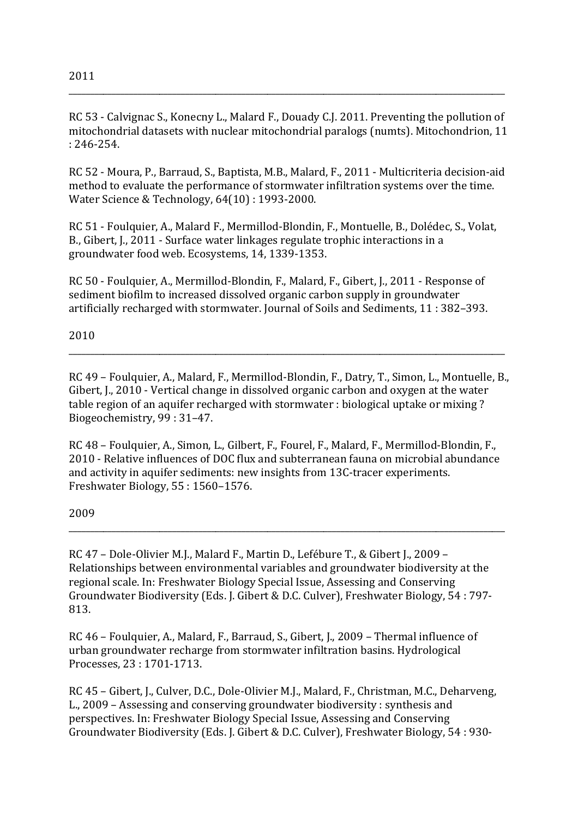RC 53 - Calvignac S., Konecny L., Malard F., Douady C.J. 2011. Preventing the pollution of mitochondrial datasets with nuclear mitochondrial paralogs (numts). Mitochondrion, 11  $: 246 - 254.$ 

RC 52 - Moura, P., Barraud, S., Baptista, M.B., Malard, F., 2011 - Multicriteria decision-aid method to evaluate the performance of stormwater infiltration systems over the time. Water Science & Technology, 64(10): 1993-2000.

RC 51 - Foulquier, A., Malard F., Mermillod-Blondin, F., Montuelle, B., Dolédec, S., Volat, B., Gibert, J., 2011 - Surface water linkages regulate trophic interactions in a groundwater food web. Ecosystems, 14, 1339-1353.

RC 50 - Foulquier, A., Mermillod-Blondin, F., Malard, F., Gibert, J., 2011 - Response of sediment biofilm to increased dissolved organic carbon supply in groundwater artificially recharged with stormwater. Journal of Soils and Sediments, 11: 382-393.

2010

RC 49 - Foulquier, A., Malard, F., Mermillod-Blondin, F., Datry, T., Simon, L., Montuelle, B., Gibert, J., 2010 - Vertical change in dissolved organic carbon and oxygen at the water table region of an aquifer recharged with stormwater : biological uptake or mixing? Biogeochemistry, 99:31-47.

RC 48 - Foulquier, A., Simon, L., Gilbert, F., Fourel, F., Malard, F., Mermillod-Blondin, F., 2010 - Relative influences of DOC flux and subterranean fauna on microbial abundance and activity in aquifer sediments: new insights from 13C-tracer experiments. Freshwater Biology, 55:1560-1576.

2009

RC 47 - Dole-Olivier M.J., Malard F., Martin D., Lefébure T., & Gibert J., 2009 -Relationships between environmental variables and groundwater biodiversity at the regional scale. In: Freshwater Biology Special Issue, Assessing and Conserving Groundwater Biodiversity (Eds. J. Gibert & D.C. Culver), Freshwater Biology, 54:797-813.

RC 46 - Foulquier, A., Malard, F., Barraud, S., Gibert, J., 2009 - Thermal influence of urban groundwater recharge from stormwater infiltration basins. Hydrological Processes, 23: 1701-1713.

RC 45 - Gibert, J., Culver, D.C., Dole-Olivier M.J., Malard, F., Christman, M.C., Deharveng, L., 2009 – Assessing and conserving groundwater biodiversity: synthesis and perspectives. In: Freshwater Biology Special Issue, Assessing and Conserving Groundwater Biodiversity (Eds. J. Gibert & D.C. Culver), Freshwater Biology, 54: 930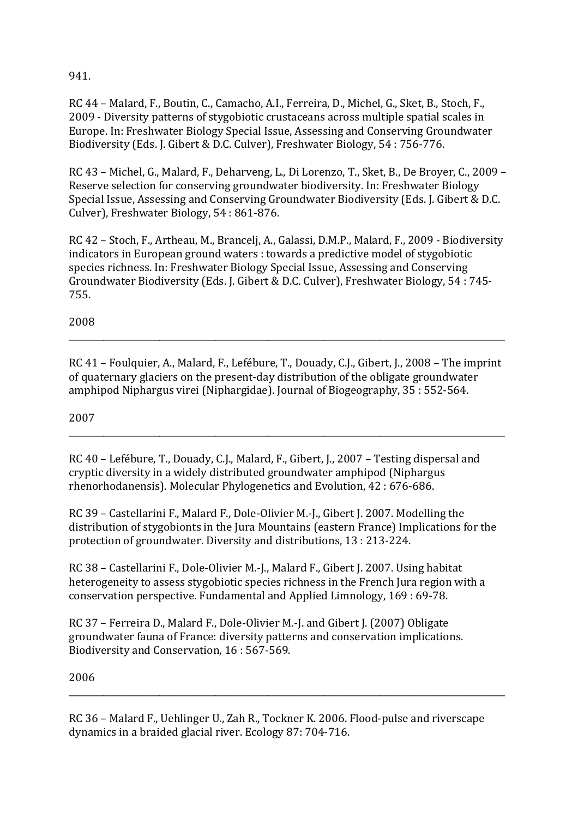941.

RC 44 – Malard, F., Boutin, C., Camacho, A.I., Ferreira, D., Michel, G., Sket, B., Stoch, F., 2009 - Diversity patterns of stygobiotic crustaceans across multiple spatial scales in Europe. In: Freshwater Biology Special Issue, Assessing and Conserving Groundwater Biodiversity (Eds. J. Gibert & D.C. Culver), Freshwater Biology, 54: 756-776.

RC 43 – Michel, G., Malard, F., Deharveng, L., Di Lorenzo, T., Sket, B., De Broyer, C., 2009 – Reserve selection for conserving groundwater biodiversity. In: Freshwater Biology Special Issue, Assessing and Conserving Groundwater Biodiversity (Eds. J. Gibert & D.C. Culver), Freshwater Biology,  $54:861-876$ .

RC 42 – Stoch, F., Artheau, M., Brancelj, A., Galassi, D.M.P., Malard, F., 2009 - Biodiversity indicators in European ground waters : towards a predictive model of stygobiotic species richness. In: Freshwater Biology Special Issue, Assessing and Conserving Groundwater Biodiversity (Eds. J. Gibert & D.C. Culver), Freshwater Biology, 54: 745-755.

2008

RC 41 – Foulquier, A., Malard, F., Lefébure, T., Douady, C.J., Gibert, J., 2008 – The imprint of quaternary glaciers on the present-day distribution of the obligate groundwater amphipod Niphargus virei (Niphargidae). Journal of Biogeography,  $35:552-564$ .

\_\_\_\_\_\_\_\_\_\_\_\_\_\_\_\_\_\_\_\_\_\_\_\_\_\_\_\_\_\_\_\_\_\_\_\_\_\_\_\_\_\_\_\_\_\_\_\_\_\_\_\_\_\_\_\_\_\_\_\_\_\_\_\_\_\_\_\_\_\_\_\_\_\_\_\_\_\_\_\_\_\_\_\_\_\_\_\_\_\_\_\_\_\_\_\_\_\_\_\_\_

\_\_\_\_\_\_\_\_\_\_\_\_\_\_\_\_\_\_\_\_\_\_\_\_\_\_\_\_\_\_\_\_\_\_\_\_\_\_\_\_\_\_\_\_\_\_\_\_\_\_\_\_\_\_\_\_\_\_\_\_\_\_\_\_\_\_\_\_\_\_\_\_\_\_\_\_\_\_\_\_\_\_\_\_\_\_\_\_\_\_\_\_\_\_\_\_\_\_\_\_\_

2007

RC 40 – Lefébure, T., Douady, C.J., Malard, F., Gibert, J., 2007 – Testing dispersal and cryptic diversity in a widely distributed groundwater amphipod (Niphargus rhenorhodanensis). Molecular Phylogenetics and Evolution, 42: 676-686.

RC 39 – Castellarini F., Malard F., Dole-Olivier M.-J., Gibert J. 2007. Modelling the distribution of stygobionts in the Jura Mountains (eastern France) Implications for the protection of groundwater. Diversity and distributions, 13 : 213-224.

RC 38 – Castellarini F., Dole-Olivier M.-J., Malard F., Gibert J. 2007. Using habitat heterogeneity to assess stygobiotic species richness in the French Jura region with a conservation perspective. Fundamental and Applied Limnology, 169: 69-78.

RC 37 – Ferreira D., Malard F., Dole-Olivier M.-I. and Gibert I. (2007) Obligate groundwater fauna of France: diversity patterns and conservation implications. Biodiversity and Conservation, 16: 567-569.

2006

RC 36 – Malard F., Uehlinger U., Zah R., Tockner K. 2006. Flood-pulse and riverscape dynamics in a braided glacial river. Ecology 87: 704-716.

\_\_\_\_\_\_\_\_\_\_\_\_\_\_\_\_\_\_\_\_\_\_\_\_\_\_\_\_\_\_\_\_\_\_\_\_\_\_\_\_\_\_\_\_\_\_\_\_\_\_\_\_\_\_\_\_\_\_\_\_\_\_\_\_\_\_\_\_\_\_\_\_\_\_\_\_\_\_\_\_\_\_\_\_\_\_\_\_\_\_\_\_\_\_\_\_\_\_\_\_\_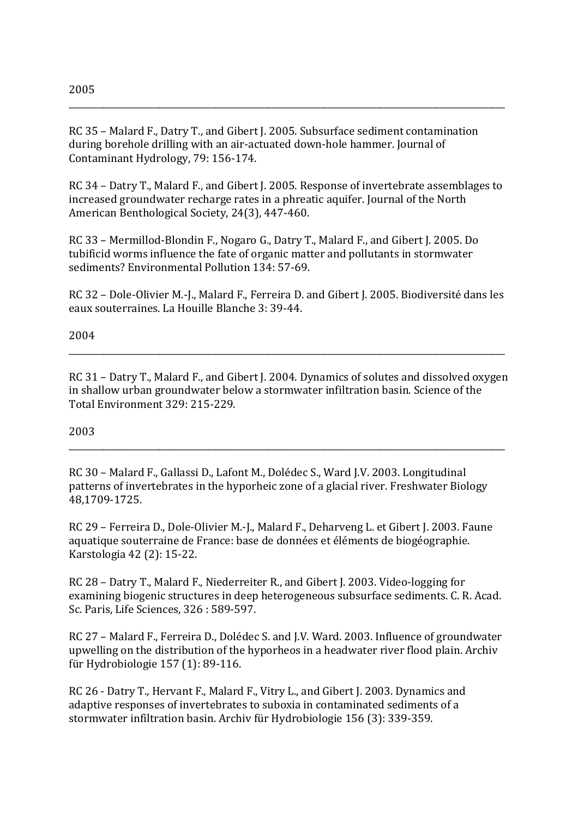RC 35 - Malard F., Datry T., and Gibert J. 2005. Subsurface sediment contamination during borehole drilling with an air-actuated down-hole hammer. Journal of Contaminant Hydrology, 79: 156-174.

RC 34 - Datry T., Malard F., and Gibert J. 2005. Response of invertebrate assemblages to increased groundwater recharge rates in a phreatic aquifer. Journal of the North American Benthological Society, 24(3), 447-460.

RC 33 - Mermillod-Blondin F., Nogaro G., Datry T., Malard F., and Gibert J. 2005. Do tubificid worms influence the fate of organic matter and pollutants in stormwater sediments? Environmental Pollution 134: 57-69.

RC 32 – Dole-Olivier M.-J., Malard F., Ferreira D. and Gibert J. 2005. Biodiversité dans les eaux souterraines. La Houille Blanche 3: 39-44.

2004

RC 31 - Datry T., Malard F., and Gibert J. 2004. Dynamics of solutes and dissolved oxygen in shallow urban groundwater below a stormwater infiltration basin. Science of the Total Environment 329: 215-229.

2003

RC 30 - Malard F., Gallassi D., Lafont M., Dolédec S., Ward J.V. 2003. Longitudinal patterns of invertebrates in the hyporheic zone of a glacial river. Freshwater Biology 48,1709-1725.

RC 29 - Ferreira D., Dole-Olivier M.-J., Malard F., Deharveng L. et Gibert J. 2003. Faune aquatique souterraine de France: base de données et éléments de biogéographie. Karstologia 42 (2): 15-22.

RC 28 - Datry T., Malard F., Niederreiter R., and Gibert J. 2003. Video-logging for examining biogenic structures in deep heterogeneous subsurface sediments. C. R. Acad. Sc. Paris, Life Sciences, 326: 589-597.

RC 27 - Malard F., Ferreira D., Dolédec S. and J.V. Ward. 2003. Influence of groundwater upwelling on the distribution of the hyporheos in a headwater river flood plain. Archiv für Hydrobiologie 157 (1): 89-116.

RC 26 - Datry T., Hervant F., Malard F., Vitry L., and Gibert J. 2003. Dynamics and adaptive responses of invertebrates to suboxia in contaminated sediments of a stormwater infiltration basin. Archiv für Hydrobiologie 156 (3): 339-359.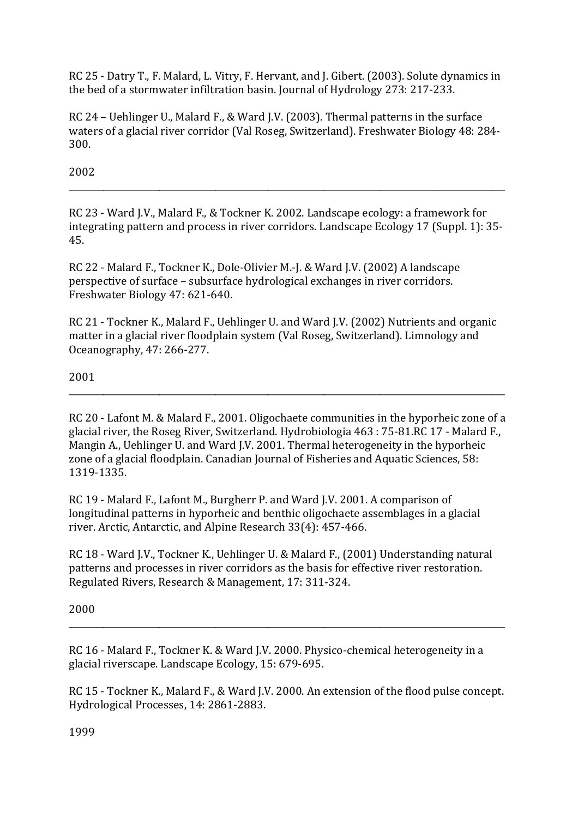RC 25 - Datry T., F. Malard, L. Vitry, F. Hervant, and J. Gibert. (2003). Solute dynamics in the bed of a stormwater infiltration basin. Journal of Hydrology 273: 217-233.

RC 24 - Uehlinger U., Malard F., & Ward J.V. (2003). Thermal patterns in the surface waters of a glacial river corridor (Val Roseg, Switzerland). Freshwater Biology 48: 284-300.

2002

RC 23 - Ward I.V., Malard F., & Tockner K. 2002. Landscape ecology: a framework for integrating pattern and process in river corridors. Landscape Ecology 17 (Suppl. 1): 35-45.

RC 22 - Malard F., Tockner K., Dole-Olivier M.-J. & Ward J.V. (2002) A landscape perspective of surface – subsurface hydrological exchanges in river corridors. Freshwater Biology 47: 621-640.

RC 21 - Tockner K., Malard F., Uehlinger U. and Ward J.V. (2002) Nutrients and organic matter in a glacial river floodplain system (Val Roseg, Switzerland). Limnology and Oceanography, 47: 266-277.

## 2001

RC 20 - Lafont M. & Malard F., 2001. Oligochaete communities in the hyporheic zone of a glacial river, the Roseg River, Switzerland. Hydrobiologia 463 : 75-81.RC 17 - Malard F., Mangin A., Uehlinger U. and Ward J.V. 2001. Thermal heterogeneity in the hyporheic zone of a glacial floodplain. Canadian Journal of Fisheries and Aquatic Sciences, 58: 1319-1335.

RC 19 - Malard F., Lafont M., Burgherr P. and Ward J.V. 2001. A comparison of longitudinal patterns in hyporheic and benthic oligochaete assemblages in a glacial river. Arctic, Antarctic, and Alpine Research 33(4): 457-466.

RC 18 - Ward J.V., Tockner K., Uehlinger U. & Malard F., (2001) Understanding natural patterns and processes in river corridors as the basis for effective river restoration. Regulated Rivers, Research & Management, 17: 311-324.

2000

RC 16 - Malard F., Tockner K. & Ward J.V. 2000. Physico-chemical heterogeneity in a glacial riverscape. Landscape Ecology, 15: 679-695.

RC 15 - Tockner K., Malard F., & Ward J.V. 2000. An extension of the flood pulse concept. Hydrological Processes, 14: 2861-2883.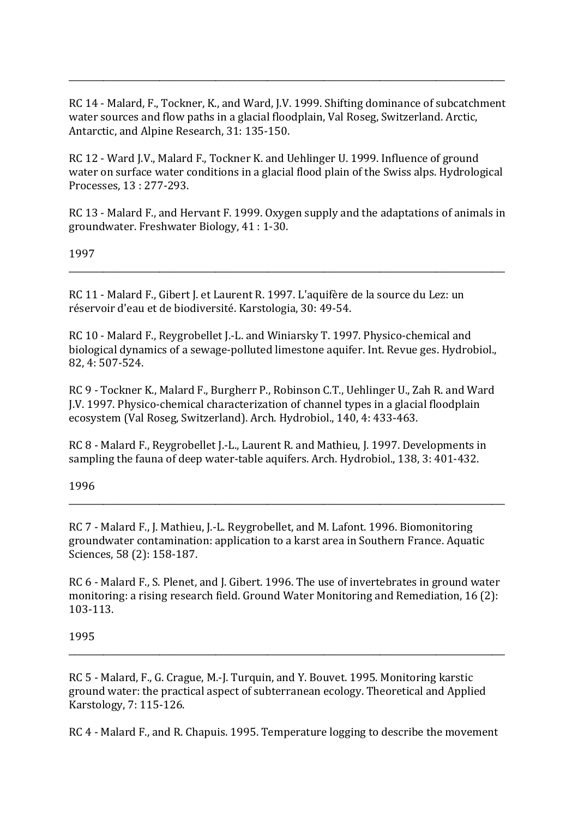RC 14 - Malard, F., Tockner, K., and Ward, J.V. 1999. Shifting dominance of subcatchment water sources and flow paths in a glacial floodplain, Val Roseg, Switzerland. Arctic, Antarctic, and Alpine Research, 31: 135-150.

RC 12 - Ward I.V., Malard F., Tockner K. and Uehlinger U. 1999. Influence of ground water on surface water conditions in a glacial flood plain of the Swiss alps. Hydrological Processes, 13: 277-293.

RC 13 - Malard F., and Hervant F. 1999. Oxygen supply and the adaptations of animals in groundwater. Freshwater Biology, 41: 1-30.

1997

RC 11 - Malard F., Gibert J. et Laurent R. 1997. L'aquifère de la source du Lez: un réservoir d'eau et de biodiversité. Karstologia, 30: 49-54.

RC 10 - Malard F., Revgrobellet I.-L. and Winiarsky T. 1997. Physico-chemical and biological dynamics of a sewage-polluted limestone aquifer. Int. Revue ges. Hydrobiol. 82, 4:507-524.

RC 9 - Tockner K., Malard F., Burgherr P., Robinson C.T., Uehlinger U., Zah R. and Ward J.V. 1997. Physico-chemical characterization of channel types in a glacial floodplain ecosystem (Val Roseg, Switzerland). Arch. Hydrobiol., 140, 4: 433-463.

RC 8 - Malard F., Reygrobellet J.-L., Laurent R. and Mathieu, J. 1997. Developments in sampling the fauna of deep water-table aquifers. Arch. Hydrobiol., 138, 3: 401-432.

1996

RC 7 - Malard F., J. Mathieu, J.-L. Reygrobellet, and M. Lafont. 1996. Biomonitoring groundwater contamination: application to a karst area in Southern France. Aquatic Sciences, 58 (2): 158-187.

RC 6 - Malard F., S. Plenet, and J. Gibert. 1996. The use of invertebrates in ground water monitoring: a rising research field. Ground Water Monitoring and Remediation, 16 (2): 103-113.

1995

RC 5 - Malard, F., G. Crague, M.-I. Turquin, and Y. Bouvet, 1995. Monitoring karstic ground water: the practical aspect of subterranean ecology. Theoretical and Applied Karstology, 7: 115-126.

RC 4 - Malard F., and R. Chapuis. 1995. Temperature logging to describe the movement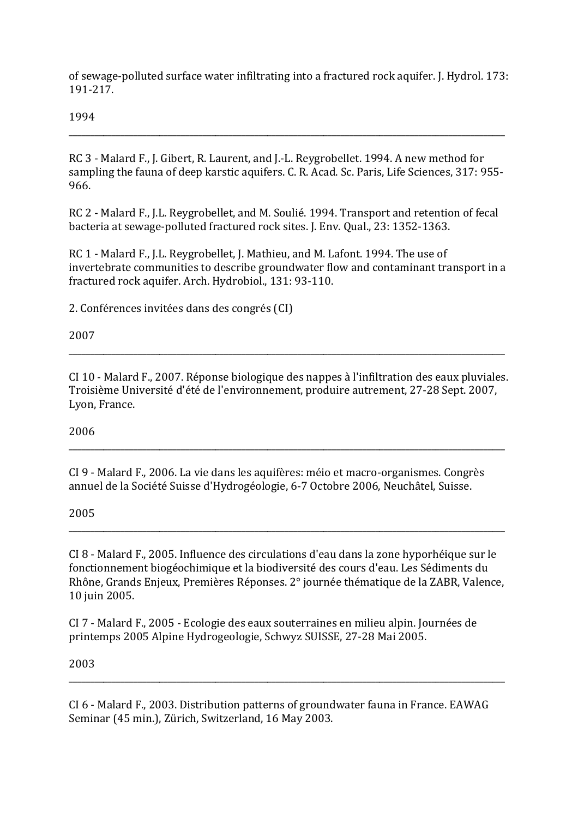of sewage-polluted surface water infiltrating into a fractured rock aquifer. J. Hydrol. 173: 191-217.

1994

RC 3 - Malard F., J. Gibert, R. Laurent, and J.-L. Revgrobellet, 1994. A new method for sampling the fauna of deep karstic aquifers, C. R. Acad. Sc. Paris, Life Sciences, 317: 955-966.

RC 2 - Malard F., J.L. Reygrobellet, and M. Soulié. 1994. Transport and retention of fecal bacteria at sewage-polluted fractured rock sites. I. Env. Oual., 23: 1352-1363.

RC 1 - Malard F., J.L. Reygrobellet, J. Mathieu, and M. Lafont. 1994. The use of invertebrate communities to describe groundwater flow and contaminant transport in a fractured rock aquifer. Arch. Hydrobiol., 131: 93-110.

2. Conférences invitées dans des congrés (CI)

2007

CI 10 - Malard F., 2007. Réponse biologique des nappes à l'infiltration des eaux pluviales. Troisième Université d'été de l'environnement, produire autrement, 27-28 Sept, 2007, Lyon, France.

2006

CI 9 - Malard F., 2006. La vie dans les aquifères: méio et macro-organismes. Congrès annuel de la Société Suisse d'Hydrogéologie, 6-7 Octobre 2006, Neuchâtel, Suisse.

2005

CI 8 - Malard F., 2005. Influence des circulations d'eau dans la zone hyporhéique sur le fonctionnement biogéochimique et la biodiversité des cours d'eau. Les Sédiments du Rhône, Grands Enjeux, Premières Réponses. 2° journée thématique de la ZABR, Valence, 10 juin 2005.

CI 7 - Malard F., 2005 - Ecologie des eaux souterraines en milieu alpin. Journées de printemps 2005 Alpine Hydrogeologie, Schwyz SUISSE, 27-28 Mai 2005.

2003

CI 6 - Malard F., 2003. Distribution patterns of groundwater fauna in France. EAWAG Seminar (45 min.), Zürich, Switzerland, 16 May 2003.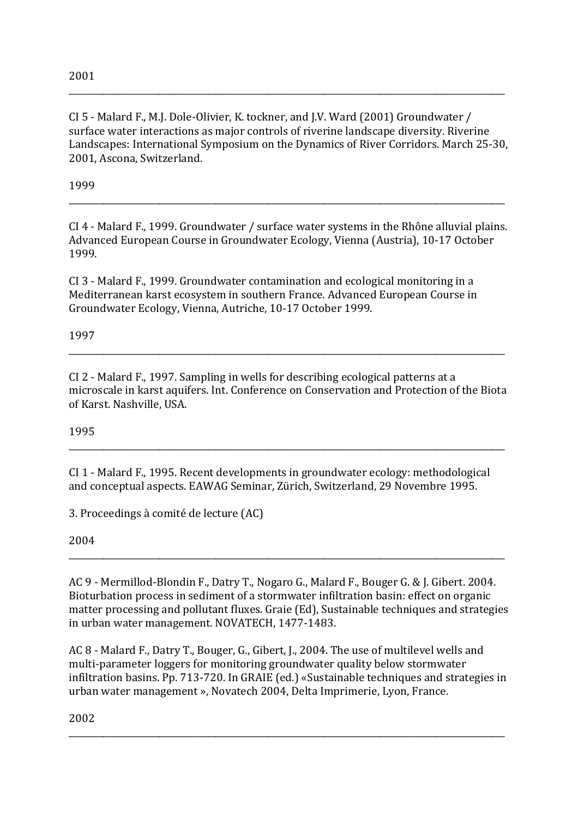CI 5 - Malard F., M.J. Dole-Olivier, K. tockner, and J.V. Ward (2001) Groundwater / surface water interactions as major controls of riverine landscape diversity. Riverine Landscapes: International Symposium on the Dynamics of River Corridors. March 25-30, 2001, Ascona, Switzerland.

\_\_\_\_\_\_\_\_\_\_\_\_\_\_\_\_\_\_\_\_\_\_\_\_\_\_\_\_\_\_\_\_\_\_\_\_\_\_\_\_\_\_\_\_\_\_\_\_\_\_\_\_\_\_\_\_\_\_\_\_\_\_\_\_\_\_\_\_\_\_\_\_\_\_\_\_\_\_\_\_\_\_\_\_\_\_\_\_\_\_\_\_\_\_\_\_\_\_\_\_\_

1999

 $CI$  4 - Malard F., 1999. Groundwater / surface water systems in the Rhône alluvial plains. Advanced European Course in Groundwater Ecology, Vienna (Austria), 10-17 October 1999.

\_\_\_\_\_\_\_\_\_\_\_\_\_\_\_\_\_\_\_\_\_\_\_\_\_\_\_\_\_\_\_\_\_\_\_\_\_\_\_\_\_\_\_\_\_\_\_\_\_\_\_\_\_\_\_\_\_\_\_\_\_\_\_\_\_\_\_\_\_\_\_\_\_\_\_\_\_\_\_\_\_\_\_\_\_\_\_\_\_\_\_\_\_\_\_\_\_\_\_\_\_

 $CI$  3 - Malard F., 1999. Groundwater contamination and ecological monitoring in a Mediterranean karst ecosystem in southern France. Advanced European Course in Groundwater Ecology, Vienna, Autriche, 10-17 October 1999.

1997

CI 2 - Malard F., 1997. Sampling in wells for describing ecological patterns at a microscale in karst aquifers. Int. Conference on Conservation and Protection of the Biota of Karst. Nashville, USA.

\_\_\_\_\_\_\_\_\_\_\_\_\_\_\_\_\_\_\_\_\_\_\_\_\_\_\_\_\_\_\_\_\_\_\_\_\_\_\_\_\_\_\_\_\_\_\_\_\_\_\_\_\_\_\_\_\_\_\_\_\_\_\_\_\_\_\_\_\_\_\_\_\_\_\_\_\_\_\_\_\_\_\_\_\_\_\_\_\_\_\_\_\_\_\_\_\_\_\_\_\_

\_\_\_\_\_\_\_\_\_\_\_\_\_\_\_\_\_\_\_\_\_\_\_\_\_\_\_\_\_\_\_\_\_\_\_\_\_\_\_\_\_\_\_\_\_\_\_\_\_\_\_\_\_\_\_\_\_\_\_\_\_\_\_\_\_\_\_\_\_\_\_\_\_\_\_\_\_\_\_\_\_\_\_\_\_\_\_\_\_\_\_\_\_\_\_\_\_\_\_\_\_

1995

CI 1 - Malard F., 1995. Recent developments in groundwater ecology: methodological and conceptual aspects. EAWAG Seminar, Zürich, Switzerland, 29 Novembre 1995.

3. Proceedings à comité de lecture (AC)

2004

AC 9 - Mermillod-Blondin F., Datry T., Nogaro G., Malard F., Bouger G. & J. Gibert. 2004. Bioturbation process in sediment of a stormwater infiltration basin: effect on organic matter processing and pollutant fluxes. Graie (Ed), Sustainable techniques and strategies in urban water management. NOVATECH, 1477-1483.

\_\_\_\_\_\_\_\_\_\_\_\_\_\_\_\_\_\_\_\_\_\_\_\_\_\_\_\_\_\_\_\_\_\_\_\_\_\_\_\_\_\_\_\_\_\_\_\_\_\_\_\_\_\_\_\_\_\_\_\_\_\_\_\_\_\_\_\_\_\_\_\_\_\_\_\_\_\_\_\_\_\_\_\_\_\_\_\_\_\_\_\_\_\_\_\_\_\_\_\_\_

AC 8 - Malard F., Datry T., Bouger, G., Gibert, J., 2004. The use of multilevel wells and multi-parameter loggers for monitoring groundwater quality below stormwater infiltration basins. Pp. 713-720. In GRAIE (ed.) «Sustainable techniques and strategies in urban water management », Novatech 2004, Delta Imprimerie, Lyon, France.

\_\_\_\_\_\_\_\_\_\_\_\_\_\_\_\_\_\_\_\_\_\_\_\_\_\_\_\_\_\_\_\_\_\_\_\_\_\_\_\_\_\_\_\_\_\_\_\_\_\_\_\_\_\_\_\_\_\_\_\_\_\_\_\_\_\_\_\_\_\_\_\_\_\_\_\_\_\_\_\_\_\_\_\_\_\_\_\_\_\_\_\_\_\_\_\_\_\_\_\_\_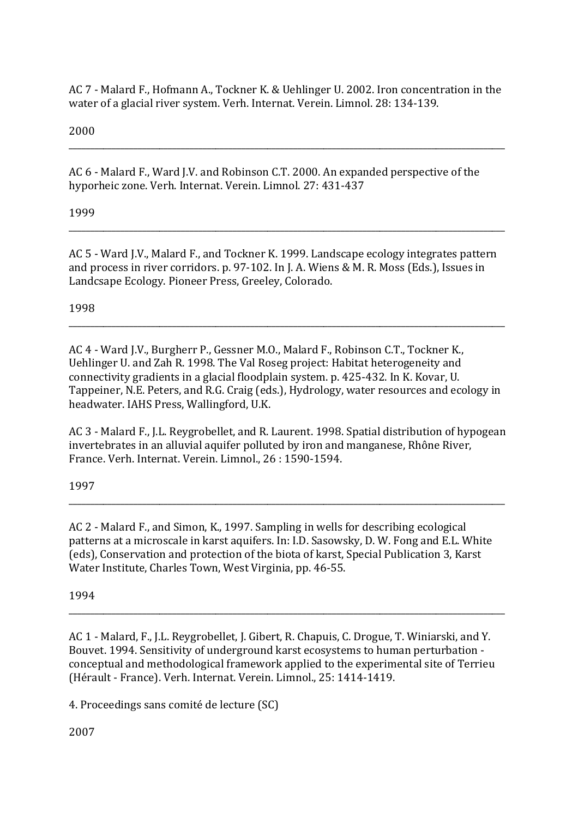AC 7 - Malard F., Hofmann A., Tockner K. & Uehlinger U. 2002. Iron concentration in the water of a glacial river system. Verh. Internat. Verein. Limnol. 28: 134-139.

2000

AC 6 - Malard F., Ward J.V. and Robinson C.T. 2000. An expanded perspective of the hyporheic zone. Verh. Internat. Verein. Limnol. 27: 431-437

1999

AC 5 - Ward J.V., Malard F., and Tockner K. 1999. Landscape ecology integrates pattern and process in river corridors. p. 97-102. In J. A. Wiens & M. R. Moss (Eds.), Issues in Landcsape Ecology. Pioneer Press, Greeley, Colorado.

1998

AC 4 - Ward J.V., Burgherr P., Gessner M.O., Malard F., Robinson C.T., Tockner K., Uehlinger U. and Zah R. 1998. The Val Roseg project: Habitat heterogeneity and connectivity gradients in a glacial floodplain system. p. 425-432. In K. Kovar, U. Tappeiner, N.E. Peters, and R.G. Craig (eds.), Hydrology, water resources and ecology in headwater. IAHS Press, Wallingford, U.K.

AC 3 - Malard F., J.L. Reygrobellet, and R. Laurent. 1998. Spatial distribution of hypogean invertebrates in an alluvial aquifer polluted by iron and manganese, Rhône River, France. Verh. Internat. Verein. Limnol., 26:1590-1594.

1997

AC 2 - Malard F., and Simon, K., 1997. Sampling in wells for describing ecological patterns at a microscale in karst aquifers. In: I.D. Sasowsky, D. W. Fong and E.L. White (eds), Conservation and protection of the biota of karst, Special Publication 3, Karst Water Institute, Charles Town, West Virginia, pp. 46-55.

1994

AC 1 - Malard, F., J.L. Reygrobellet, J. Gibert, R. Chapuis, C. Drogue, T. Winiarski, and Y. Bouvet. 1994. Sensitivity of underground karst ecosystems to human perturbation conceptual and methodological framework applied to the experimental site of Terrieu (Hérault - France). Verh. Internat. Verein. Limnol., 25: 1414-1419.

4. Proceedings sans comité de lecture (SC)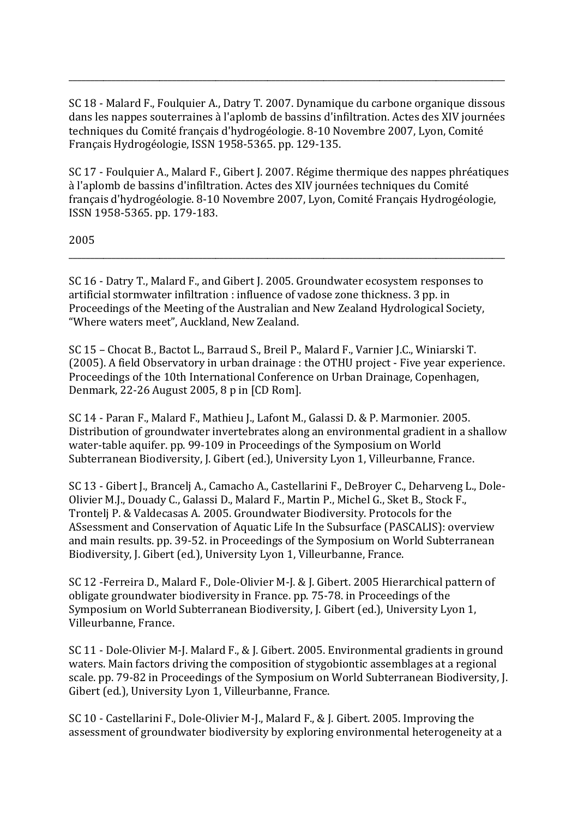SC 18 - Malard F., Foulquier A., Datry T. 2007. Dynamique du carbone organique dissous dans les nappes souterraines à l'aplomb de bassins d'infiltration. Actes des XIV journées techniques du Comité français d'hydrogéologie. 8-10 Novembre 2007, Lyon, Comité Français Hydrogéologie, ISSN 1958-5365. pp. 129-135.

SC 17 - Foulquier A., Malard F., Gibert J. 2007. Régime thermique des nappes phréatiques à l'aplomb de bassins d'infiltration. Actes des XIV journées techniques du Comité français d'hydrogéologie. 8-10 Novembre 2007, Lyon, Comité Français Hydrogéologie. ISSN 1958-5365. pp. 179-183.

2005

SC 16 - Datry T., Malard F., and Gibert J. 2005. Groundwater ecosystem responses to artificial stormwater infiltration : influence of vadose zone thickness. 3 pp. in Proceedings of the Meeting of the Australian and New Zealand Hydrological Society. "Where waters meet", Auckland, New Zealand.

SC 15 - Chocat B., Bactot L., Barraud S., Breil P., Malard F., Varnier J.C., Winiarski T. (2005). A field Observatory in urban drainage : the OTHU project - Five year experience. Proceedings of the 10th International Conference on Urban Drainage, Copenhagen, Denmark, 22-26 August 2005, 8 p in [CD Rom].

SC 14 - Paran F., Malard F., Mathieu J., Lafont M., Galassi D. & P. Marmonier. 2005. Distribution of groundwater invertebrates along an environmental gradient in a shallow water-table aquifer. pp. 99-109 in Proceedings of the Symposium on World Subterranean Biodiversity, J. Gibert (ed.), University Lyon 1, Villeurbanne, France.

SC 13 - Gibert J., Brancelj A., Camacho A., Castellarini F., DeBroyer C., Deharveng L., Dole-Olivier M.J., Douady C., Galassi D., Malard F., Martin P., Michel G., Sket B., Stock F., Trontelj P. & Valdecasas A. 2005. Groundwater Biodiversity. Protocols for the ASsessment and Conservation of Aquatic Life In the Subsurface (PASCALIS): overview and main results, pp. 39-52, in Proceedings of the Symposium on World Subterranean Biodiversity, J. Gibert (ed.), University Lyon 1, Villeurbanne, France.

SC 12 - Ferreira D., Malard F., Dole-Olivier M-J. & J. Gibert. 2005 Hierarchical pattern of obligate groundwater biodiversity in France. pp. 75-78. in Proceedings of the Symposium on World Subterranean Biodiversity, J. Gibert (ed.), University Lyon 1, Villeurbanne, France.

SC 11 - Dole-Olivier M-J. Malard F., & J. Gibert. 2005. Environmental gradients in ground waters. Main factors driving the composition of stygobiontic assemblages at a regional scale, pp. 79-82 in Proceedings of the Symposium on World Subterranean Biodiversity, J. Gibert (ed.), University Lyon 1, Villeurbanne, France.

SC 10 - Castellarini F., Dole-Olivier M-J., Malard F., & J. Gibert. 2005. Improving the assessment of groundwater biodiversity by exploring environmental heterogeneity at a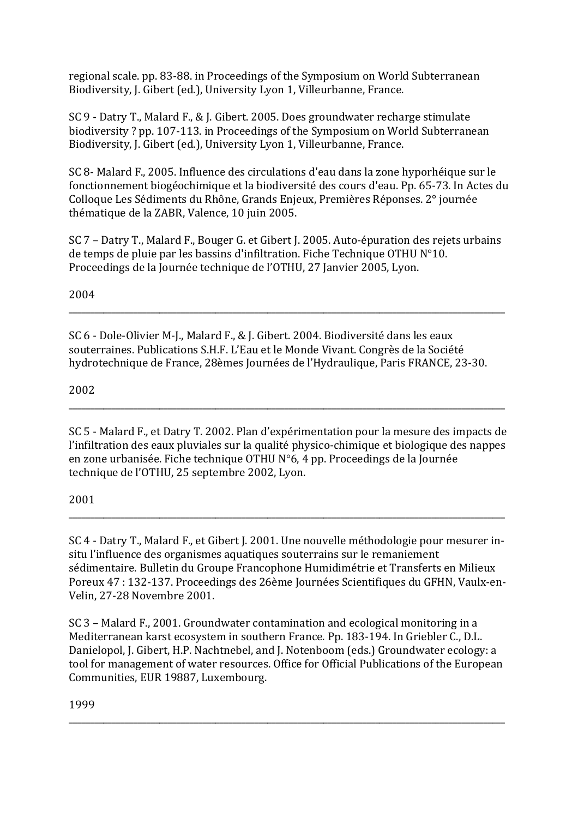regional scale, pp. 83-88, in Proceedings of the Symposium on World Subterranean Biodiversity, J. Gibert (ed.), University Lyon 1, Villeurbanne, France.

SC 9 - Datry T., Malard F., & J. Gibert. 2005. Does groundwater recharge stimulate biodiversity? pp. 107-113. in Proceedings of the Symposium on World Subterranean Biodiversity, J. Gibert (ed.), University Lyon 1, Villeurbanne, France.

SC 8- Malard F., 2005. Influence des circulations d'eau dans la zone hyporhéique sur le fonctionnement biogéochimique et la biodiversité des cours d'eau. Pp. 65-73. In Actes du Colloque Les Sédiments du Rhône, Grands Enjeux, Premières Réponses. 2° journée thématique de la ZABR, Valence, 10 juin 2005.

SC 7 – Datry T., Malard F., Bouger G. et Gibert J. 2005. Auto-épuration des rejets urbains de temps de pluie par les bassins d'infiltration. Fiche Technique OTHU N°10. Proceedings de la Journée technique de l'OTHU, 27 Janvier 2005, Lyon.

2004

SC 6 - Dole-Olivier M-L. Malard F., & J. Gibert, 2004. Biodiversité dans les eaux souterraines. Publications S.H.F. L'Eau et le Monde Vivant. Congrès de la Société hydrotechnique de France, 28èmes Journées de l'Hydraulique, Paris FRANCE, 23-30.

2002

SC 5 - Malard F., et Datry T. 2002. Plan d'expérimentation pour la mesure des impacts de l'infiltration des eaux pluviales sur la qualité physico-chimique et biologique des nappes en zone urbanisée. Fiche technique OTHU N°6, 4 pp. Proceedings de la Journée technique de l'OTHU, 25 septembre 2002, Lyon.

2001

SC 4 - Datry T., Malard F., et Gibert J. 2001. Une nouvelle méthodologie pour mesurer insitu l'influence des organismes aquatiques souterrains sur le remaniement sédimentaire. Bulletin du Groupe Francophone Humidimétrie et Transferts en Milieux Poreux 47 : 132-137. Proceedings des 26ème Journées Scientifiques du GFHN, Vaulx-en-Velin, 27-28 Novembre 2001.

SC 3 – Malard F., 2001. Groundwater contamination and ecological monitoring in a Mediterranean karst ecosystem in southern France. Pp. 183-194. In Griebler C., D.L. Danielopol, J. Gibert, H.P. Nachtnebel, and J. Notenboom (eds.) Groundwater ecology: a tool for management of water resources. Office for Official Publications of the European Communities, EUR 19887, Luxembourg.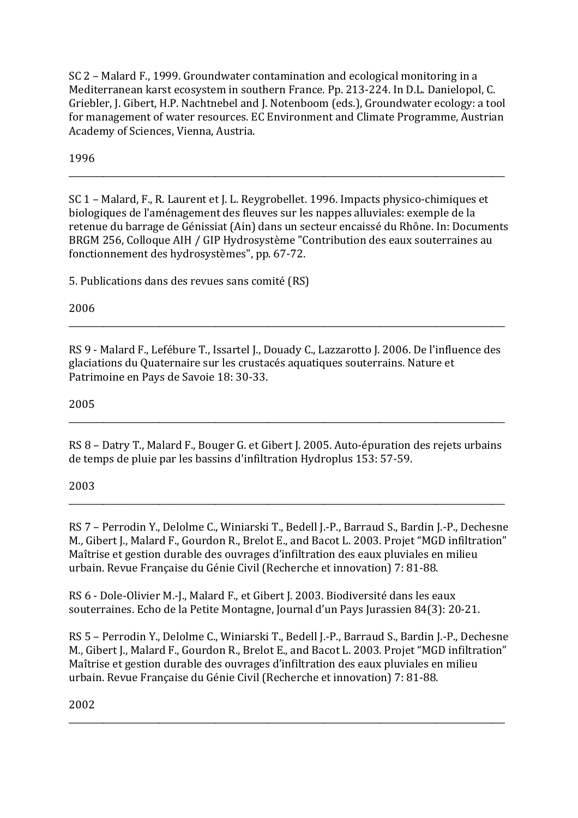SC 2 – Malard F., 1999. Groundwater contamination and ecological monitoring in a Mediterranean karst ecosystem in southern France. Pp. 213-224. In D.L. Danielopol, C. Griebler, J. Gibert, H.P. Nachtnebel and J. Notenboom (eds.), Groundwater ecology: a tool for management of water resources. EC Environment and Climate Programme, Austrian Academy of Sciences, Vienna, Austria.

1996

SC 1 - Malard, F., R. Laurent et J. L. Revgrobellet. 1996. Impacts physico-chimiques et biologiques de l'aménagement des fleuves sur les nappes alluviales: exemple de la retenue du barrage de Génissiat (Ain) dans un secteur encaissé du Rhône. In: Documents BRGM 256, Colloque AIH / GIP Hydrosystème "Contribution des eaux souterraines au fonctionnement des hydrosystèmes", pp. 67-72.

5. Publications dans des revues sans comité (RS)

2006

RS 9 - Malard F., Lefébure T., Issartel J., Douady C., Lazzarotto J. 2006. De l'influence des glaciations du Quaternaire sur les crustacés aquatiques souterrains. Nature et Patrimoine en Pays de Savoie 18: 30-33.

2005

RS 8 - Datry T., Malard F., Bouger G. et Gibert J. 2005. Auto-épuration des rejets urbains de temps de pluie par les bassins d'infiltration Hydroplus 153: 57-59.

2003

RS 7 - Perrodin Y., Delolme C., Winiarski T., Bedell J.-P., Barraud S., Bardin J.-P., Dechesne M., Gibert J., Malard F., Gourdon R., Brelot E., and Bacot L. 2003. Projet "MGD infiltration" Maîtrise et gestion durable des ouvrages d'infiltration des eaux pluviales en milieu urbain. Revue Française du Génie Civil (Recherche et innovation) 7: 81-88.

RS 6 - Dole-Olivier M.-J., Malard F., et Gibert J. 2003. Biodiversité dans les eaux souterraines. Echo de la Petite Montagne, Journal d'un Pays Jurassien 84(3): 20-21.

RS 5 - Perrodin Y., Delolme C., Winiarski T., Bedell J.-P., Barraud S., Bardin J.-P., Dechesne M., Gibert J., Malard F., Gourdon R., Brelot E., and Bacot L. 2003. Projet "MGD infiltration" Maîtrise et gestion durable des ouvrages d'infiltration des eaux pluviales en milieu urbain. Revue Française du Génie Civil (Recherche et innovation) 7: 81-88.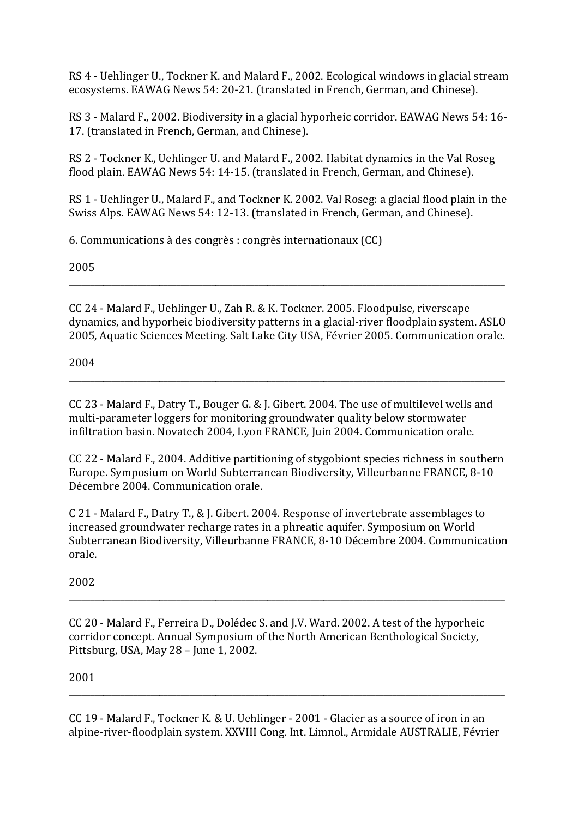RS 4 - Uehlinger U., Tockner K. and Malard F., 2002. Ecological windows in glacial stream ecosystems. EAWAG News 54: 20-21. (translated in French, German, and Chinese).

RS 3 - Malard F., 2002. Biodiversity in a glacial hyporheic corridor. EAWAG News 54: 16-17. (translated in French, German, and Chinese).

RS 2 - Tockner K., Uehlinger U. and Malard F., 2002. Habitat dynamics in the Val Roseg flood plain, EAWAG News 54: 14-15. (translated in French, German, and Chinese).

RS 1 - Uehlinger U., Malard F., and Tockner K. 2002. Val Roseg: a glacial flood plain in the Swiss Alps. EAWAG News 54: 12-13. (translated in French, German, and Chinese).

6. Communications à des congrès : congrès internationaux (CC)

2005

CC 24 - Malard F., Uehlinger U., Zah R. & K. Tockner. 2005. Floodpulse, riverscape dynamics, and hyporheic biodiversity patterns in a glacial-river floodplain system. ASLO 2005. Aquatic Sciences Meeting, Salt Lake City USA, Février 2005. Communication orale.

2004

CC 23 - Malard F., Datry T., Bouger G. & J. Gibert. 2004. The use of multilevel wells and multi-parameter loggers for monitoring groundwater quality below stormwater infiltration basin. Novatech 2004, Lyon FRANCE, Juin 2004. Communication orale.

CC 22 - Malard F., 2004. Additive partitioning of stygobiont species richness in southern Europe. Symposium on World Subterranean Biodiversity, Villeurbanne FRANCE, 8-10 Décembre 2004. Communication orale.

C 21 - Malard F., Datry T., & J. Gibert. 2004. Response of invertebrate assemblages to increased groundwater recharge rates in a phreatic aquifer. Symposium on World Subterranean Biodiversity, Villeurbanne FRANCE, 8-10 Décembre 2004. Communication orale.

2002

CC 20 - Malard F., Ferreira D., Dolédec S. and I.V. Ward. 2002. A test of the hyporheic corridor concept. Annual Symposium of the North American Benthological Society, Pittsburg, USA, May 28 - June 1, 2002.

2001

CC 19 - Malard F., Tockner K. & U. Uehlinger - 2001 - Glacier as a source of iron in an alpine-river-floodplain system. XXVIII Cong. Int. Limnol., Armidale AUSTRALIE, Février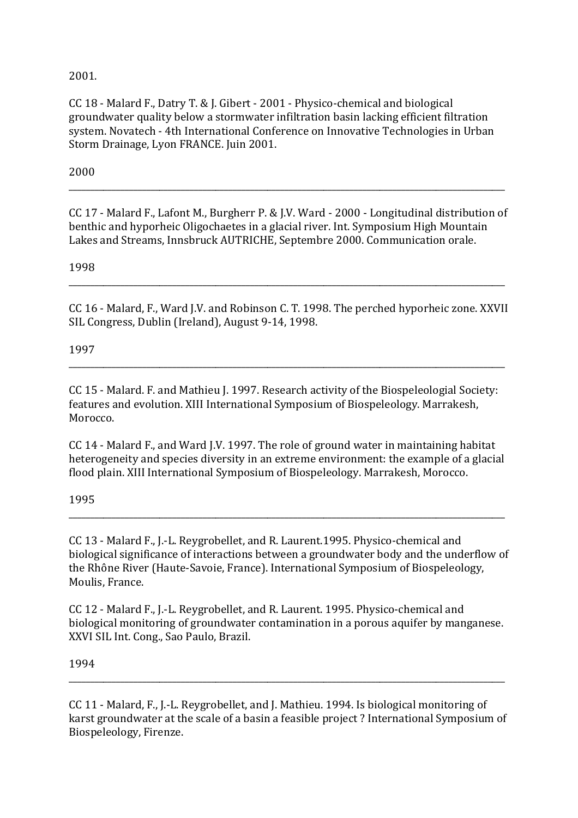2001.

CC 18 - Malard F., Datry T. & J. Gibert - 2001 - Physico-chemical and biological groundwater quality below a stormwater infiltration basin lacking efficient filtration system. Novatech - 4th International Conference on Innovative Technologies in Urban Storm Drainage, Lyon FRANCE. Juin 2001.

2000

CC 17 - Malard F., Lafont M., Burgherr P. & I.V. Ward - 2000 - Longitudinal distribution of benthic and hyporheic Oligochaetes in a glacial river. Int. Symposium High Mountain Lakes and Streams, Innsbruck AUTRICHE, Septembre 2000. Communication orale.

1998

CC 16 - Malard, F., Ward J.V. and Robinson C. T. 1998. The perched hyporheic zone. XXVII SIL Congress, Dublin (Ireland), August 9-14, 1998.

1997

CC 15 - Malard, F. and Mathieu J. 1997. Research activity of the Biospeleologial Society: features and evolution. XIII International Symposium of Biospeleology. Marrakesh. Morocco.

CC 14 - Malard F., and Ward J.V. 1997. The role of ground water in maintaining habitat heterogeneity and species diversity in an extreme environment: the example of a glacial flood plain. XIII International Symposium of Biospeleology. Marrakesh, Morocco.

1995

CC 13 - Malard F., J.-L. Reygrobellet, and R. Laurent. 1995. Physico-chemical and biological significance of interactions between a groundwater body and the underflow of the Rhône River (Haute-Savoie, France). International Symposium of Biospeleology, Moulis, France.

CC 12 - Malard F., J.-L. Reygrobellet, and R. Laurent. 1995. Physico-chemical and biological monitoring of groundwater contamination in a porous aquifer by manganese. XXVI SIL Int. Cong., Sao Paulo, Brazil.

1994

CC 11 - Malard, F., J.-L. Reygrobellet, and J. Mathieu. 1994. Is biological monitoring of karst groundwater at the scale of a basin a feasible project? International Symposium of Biospeleology, Firenze.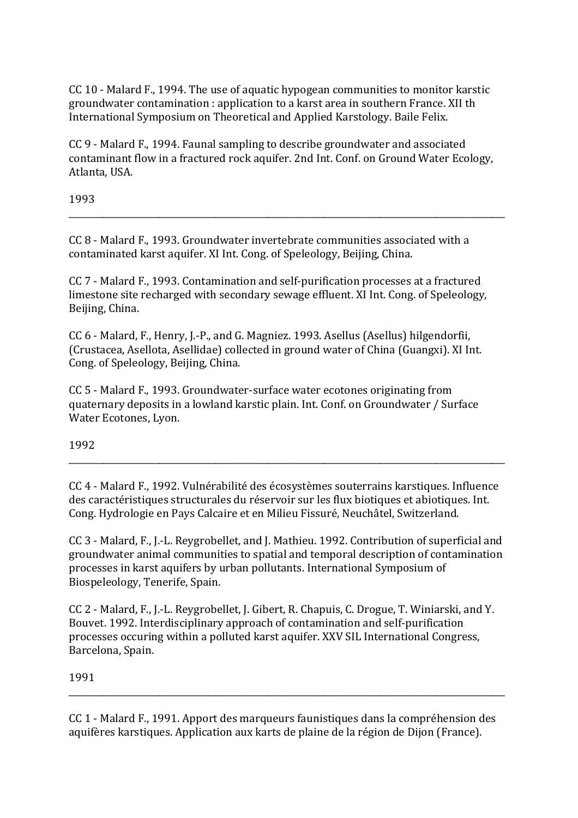CC 10 - Malard F., 1994. The use of aquatic hypogean communities to monitor karstic groundwater contamination: application to a karst area in southern France. XII th International Symposium on Theoretical and Applied Karstology. Baile Felix.

CC 9 - Malard F., 1994. Faunal sampling to describe groundwater and associated contaminant flow in a fractured rock aquifer. 2nd Int. Conf. on Ground Water Ecology, Atlanta, USA.

1993

CC 8 - Malard F., 1993. Groundwater invertebrate communities associated with a contaminated karst aquifer. XI Int. Cong. of Speleology, Beijing, China.

CC 7 - Malard F., 1993. Contamination and self-purification processes at a fractured limestone site recharged with secondary sewage effluent. XI Int. Cong. of Speleology, Beijing, China.

CC 6 - Malard, F., Henry, J.-P., and G. Magniez. 1993. Asellus (Asellus) hilgendorfii. (Crustacea, Asellota, Asellidae) collected in ground water of China (Guangxi). XI Int. Cong. of Speleology, Beijing, China.

CC 5 - Malard F., 1993. Groundwater-surface water ecotones originating from quaternary deposits in a lowland karstic plain. Int. Conf. on Groundwater / Surface Water Ecotones, Lyon.

1992

CC 4 - Malard F., 1992. Vulnérabilité des écosystèmes souterrains karstiques. Influence des caractéristiques structurales du réservoir sur les flux biotiques et abiotiques. Int. Cong. Hydrologie en Pays Calcaire et en Milieu Fissuré, Neuchâtel, Switzerland.

CC 3 - Malard, F., J.-L. Reygrobellet, and J. Mathieu. 1992. Contribution of superficial and groundwater animal communities to spatial and temporal description of contamination processes in karst aquifers by urban pollutants. International Symposium of Biospeleology, Tenerife, Spain.

CC 2 - Malard, F., J.-L. Reygrobellet, J. Gibert, R. Chapuis, C. Drogue, T. Winiarski, and Y. Bouvet, 1992. Interdisciplinary approach of contamination and self-purification processes occuring within a polluted karst aquifer. XXV SIL International Congress, Barcelona, Spain.

1991

CC 1 - Malard F., 1991. Apport des marqueurs faunistiques dans la compréhension des aquifères karstiques. Application aux karts de plaine de la région de Dijon (France).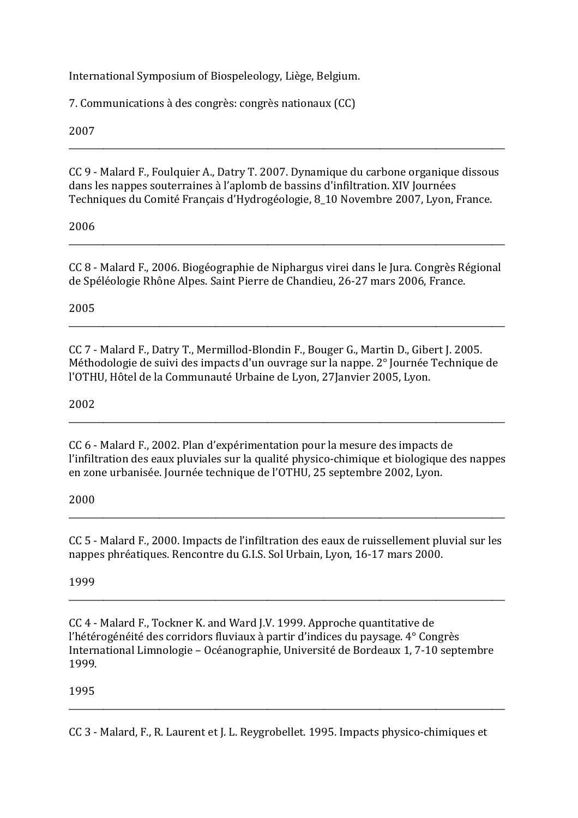International Symposium of Biospeleology, Liège, Belgium.

7. Communications à des congrès: congrès nationaux (CC)

2007

CC 9 - Malard F., Foulquier A., Datry T. 2007. Dynamique du carbone organique dissous dans les nappes souterraines à l'aplomb de bassins d'infiltration. XIV Journées Techniques du Comité Français d'Hydrogéologie, 8 10 Novembre 2007, Lyon, France.

2006

CC 8 - Malard F., 2006. Biogéographie de Niphargus virei dans le Jura. Congrès Régional de Spéléologie Rhône Alpes. Saint Pierre de Chandieu, 26-27 mars 2006, France.

2005

CC 7 - Malard F., Datry T., Mermillod-Blondin F., Bouger G., Martin D., Gibert J. 2005. Méthodologie de suivi des impacts d'un ouvrage sur la nappe. 2° Journée Technique de l'OTHU, Hôtel de la Communauté Urbaine de Lyon, 27Janvier 2005, Lyon.

2002

CC 6 - Malard F., 2002. Plan d'expérimentation pour la mesure des impacts de l'infiltration des eaux pluviales sur la qualité physico-chimique et biologique des nappes en zone urbanisée. Journée technique de l'OTHU, 25 septembre 2002, Lyon.

2000

CC 5 - Malard F., 2000. Impacts de l'infiltration des eaux de ruissellement pluvial sur les nappes phréatiques. Rencontre du G.I.S. Sol Urbain, Lyon, 16-17 mars 2000.

1999

CC 4 - Malard F., Tockner K. and Ward I.V. 1999. Approche quantitative de l'hétérogénéité des corridors fluviaux à partir d'indices du paysage. 4° Congrès International Limnologie – Océanographie, Université de Bordeaux 1, 7-10 septembre 1999.

1995

CC 3 - Malard, F., R. Laurent et J. L. Reygrobellet. 1995. Impacts physico-chimiques et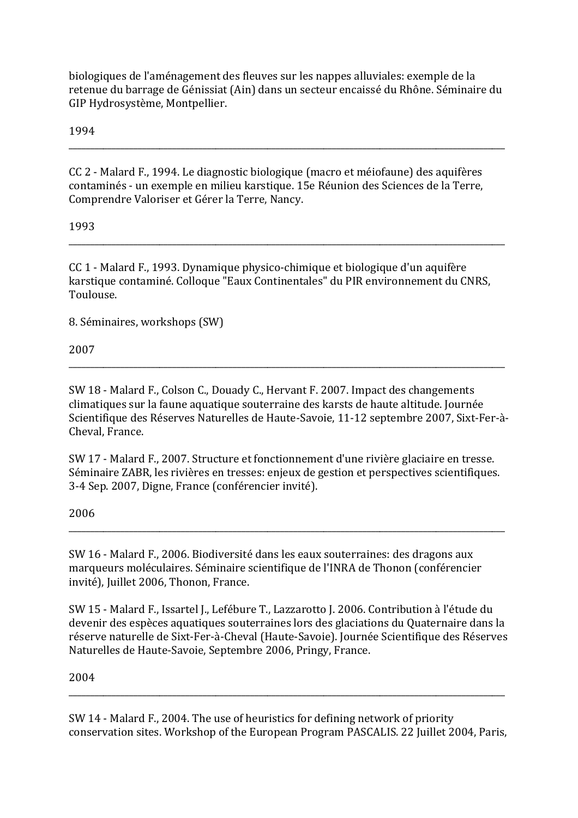biologiques de l'aménagement des fleuves sur les nappes alluviales: exemple de la retenue du barrage de Génissiat (Ain) dans un secteur encaissé du Rhône. Séminaire du GIP Hydrosystème, Montpellier.

1994

CC 2 - Malard F., 1994. Le diagnostic biologique (macro et méiofaune) des aquifères contaminés - un exemple en milieu karstique. 15e Réunion des Sciences de la Terre, Comprendre Valoriser et Gérer la Terre, Nancy.

1993

CC 1 - Malard F., 1993. Dynamique physico-chimique et biologique d'un aquifère karstique contaminé. Colloque "Eaux Continentales" du PIR environnement du CNRS, Toulouse.

8. Séminaires, workshops (SW)

2007

SW 18 - Malard F., Colson C., Douady C., Hervant F. 2007. Impact des changements climatiques sur la faune aquatique souterraine des karsts de haute altitude. Journée Scientifique des Réserves Naturelles de Haute-Savoie, 11-12 septembre 2007, Sixt-Fer-à-Cheval. France.

SW 17 - Malard F., 2007. Structure et fonctionnement d'une rivière glaciaire en tresse. Séminaire ZABR, les rivières en tresses: enjeux de gestion et perspectives scientifiques. 3-4 Sep. 2007, Digne, France (conférencier invité).

## 2006

SW 16 - Malard F., 2006. Biodiversité dans les eaux souterraines: des dragons aux marqueurs moléculaires. Séminaire scientifique de l'INRA de Thonon (conférencier invité), Juillet 2006, Thonon, France.

SW 15 - Malard F., Issartel J., Lefébure T., Lazzarotto J. 2006. Contribution à l'étude du devenir des espèces aquatiques souterraines lors des glaciations du Quaternaire dans la réserve naturelle de Sixt-Fer-à-Cheval (Haute-Savoie). Journée Scientifique des Réserves Naturelles de Haute-Savoie, Septembre 2006, Pringy, France.

2004

SW 14 - Malard F., 2004. The use of heuristics for defining network of priority conservation sites. Workshop of the European Program PASCALIS. 22 Juillet 2004, Paris,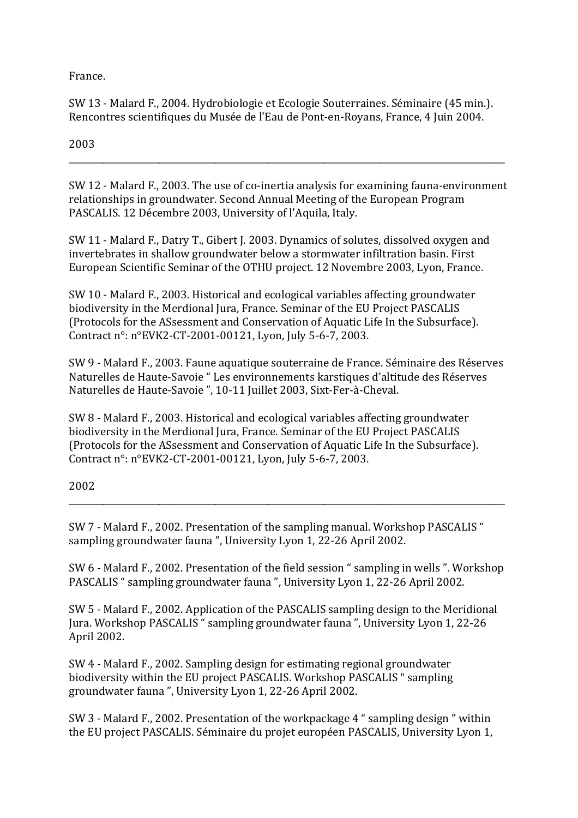France.

SW 13 - Malard F., 2004. Hydrobiologie et Ecologie Souterraines. Séminaire (45 min.). Rencontres scientifiques du Musée de l'Eau de Pont-en-Royans, France, 4 Juin 2004.

2003

SW 12 - Malard F., 2003. The use of co-inertia analysis for examining fauna-environment relationships in groundwater. Second Annual Meeting of the European Program PASCALIS. 12 Décembre 2003, University of l'Aquila, Italy.

SW 11 - Malard F., Datry T., Gibert J. 2003. Dynamics of solutes, dissolved oxygen and invertebrates in shallow groundwater below a stormwater infiltration basin. First European Scientific Seminar of the OTHU project. 12 Novembre 2003, Lyon, France.

SW 10 - Malard F., 2003. Historical and ecological variables affecting groundwater biodiversity in the Merdional Jura, France. Seminar of the EU Project PASCALIS (Protocols for the ASsessment and Conservation of Aquatic Life In the Subsurface). Contract n°: n°EVK2-CT-2001-00121. Lyon. July 5-6-7, 2003.

SW 9 - Malard F., 2003. Faune aquatique souterraine de France. Séminaire des Réserves Naturelles de Haute-Savoie "Les environnements karstiques d'altitude des Réserves Naturelles de Haute-Savoie", 10-11 Juillet 2003, Sixt-Fer-à-Cheval.

SW 8 - Malard F., 2003. Historical and ecological variables affecting groundwater biodiversity in the Merdional Jura, France. Seminar of the EU Project PASCALIS (Protocols for the ASsessment and Conservation of Aquatic Life In the Subsurface). Contract n°: n°EVK2-CT-2001-00121, Lyon, July 5-6-7, 2003.

2002

SW 7 - Malard F., 2002. Presentation of the sampling manual. Workshop PASCALIS " sampling groundwater fauna", University Lyon 1, 22-26 April 2002.

SW 6 - Malard F., 2002. Presentation of the field session "sampling in wells ". Workshop PASCALIS "sampling groundwater fauna", University Lyon 1, 22-26 April 2002.

SW 5 - Malard F., 2002. Application of the PASCALIS sampling design to the Meridional Jura. Workshop PASCALIS "sampling groundwater fauna", University Lyon 1, 22-26 April 2002.

SW 4 - Malard F., 2002. Sampling design for estimating regional groundwater biodiversity within the EU project PASCALIS. Workshop PASCALIS "sampling groundwater fauna", University Lyon 1, 22-26 April 2002.

SW 3 - Malard F., 2002. Presentation of the workpackage 4 " sampling design " within the EU project PASCALIS. Séminaire du projet européen PASCALIS, University Lyon 1,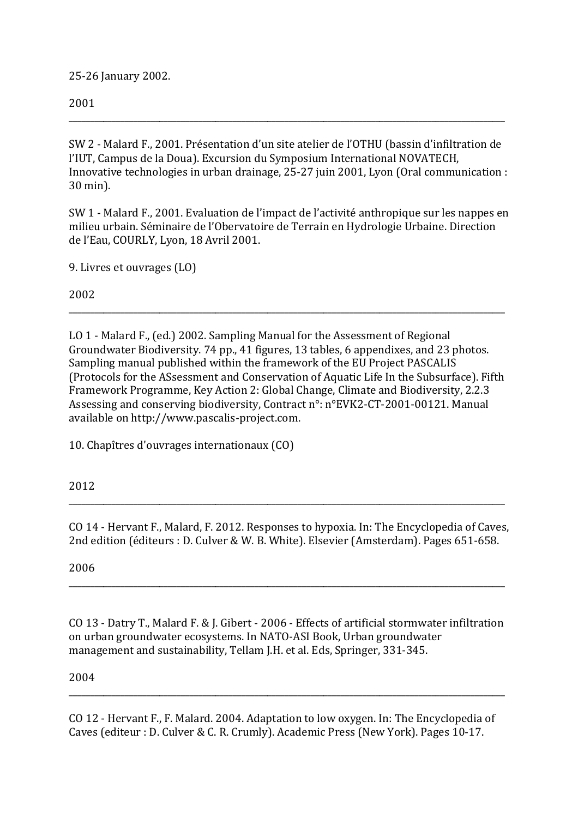25-26 January 2002.

## 2001

SW 2 - Malard F., 2001. Présentation d'un site atelier de l'OTHU (bassin d'infiltration de l'IUT. Campus de la Doua). Excursion du Symposium International NOVATECH. Innovative technologies in urban drainage, 25-27 juin 2001, Lyon (Oral communication : 30 min).

SW 1 - Malard F., 2001. Evaluation de l'impact de l'activité anthropique sur les nappes en milieu urbain. Séminaire de l'Obervatoire de Terrain en Hydrologie Urbaine. Direction de l'Eau, COURLY, Lyon, 18 Avril 2001.

9. Livres et ouvrages (LO)

2002

LO 1 - Malard F., (ed.) 2002. Sampling Manual for the Assessment of Regional Groundwater Biodiversity. 74 pp., 41 figures, 13 tables, 6 appendixes, and 23 photos. Sampling manual published within the framework of the EU Project PASCALIS (Protocols for the ASsessment and Conservation of Aquatic Life In the Subsurface). Fifth Framework Programme, Key Action 2: Global Change, Climate and Biodiversity, 2.2.3 Assessing and conserving biodiversity, Contract n°: n°EVK2-CT-2001-00121. Manual available on http://www.pascalis-project.com.

10. Chapîtres d'ouvrages internationaux (CO)

2012

CO 14 - Hervant F., Malard, F. 2012. Responses to hypoxia. In: The Encyclopedia of Caves, 2nd edition (éditeurs : D. Culver & W. B. White). Elsevier (Amsterdam). Pages 651-658.

2006

CO 13 - Datry T., Malard F. & I. Gibert - 2006 - Effects of artificial stormwater infiltration on urban groundwater ecosystems. In NATO-ASI Book, Urban groundwater management and sustainability, Tellam J.H. et al. Eds, Springer, 331-345.

2004

CO 12 - Hervant F., F. Malard. 2004. Adaptation to low oxygen. In: The Encyclopedia of Caves (editeur : D. Culver & C. R. Crumly). Academic Press (New York). Pages 10-17.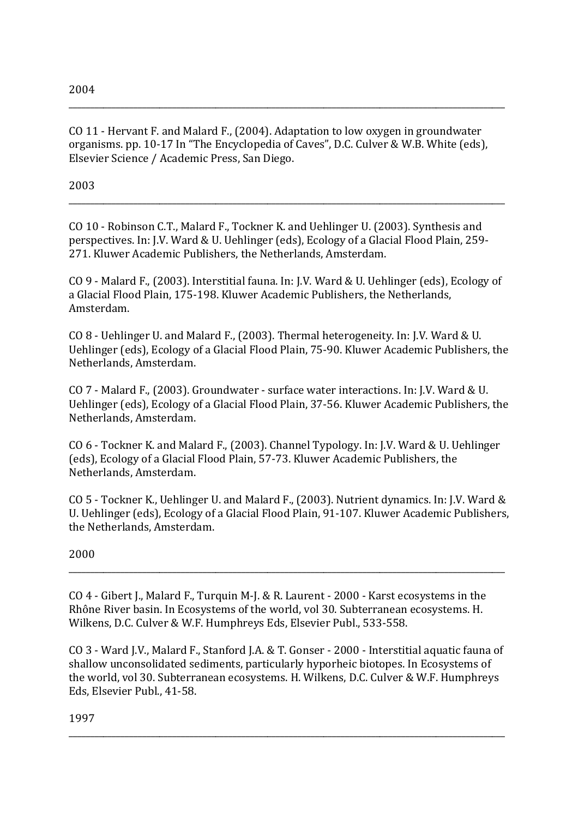CO 11 - Hervant F. and Malard F., (2004). Adaptation to low oxygen in groundwater organisms. pp. 10-17 In "The Encyclopedia of Caves", D.C. Culver & W.B. White (eds), Elsevier Science / Academic Press, San Diego.

\_\_\_\_\_\_\_\_\_\_\_\_\_\_\_\_\_\_\_\_\_\_\_\_\_\_\_\_\_\_\_\_\_\_\_\_\_\_\_\_\_\_\_\_\_\_\_\_\_\_\_\_\_\_\_\_\_\_\_\_\_\_\_\_\_\_\_\_\_\_\_\_\_\_\_\_\_\_\_\_\_\_\_\_\_\_\_\_\_\_\_\_\_\_\_\_\_\_\_\_\_

2003

CO 10 - Robinson C.T., Malard F., Tockner K. and Uehlinger U. (2003). Synthesis and perspectives. In: J.V. Ward & U. Uehlinger (eds), Ecology of a Glacial Flood Plain, 259-271. Kluwer Academic Publishers, the Netherlands, Amsterdam.

\_\_\_\_\_\_\_\_\_\_\_\_\_\_\_\_\_\_\_\_\_\_\_\_\_\_\_\_\_\_\_\_\_\_\_\_\_\_\_\_\_\_\_\_\_\_\_\_\_\_\_\_\_\_\_\_\_\_\_\_\_\_\_\_\_\_\_\_\_\_\_\_\_\_\_\_\_\_\_\_\_\_\_\_\_\_\_\_\_\_\_\_\_\_\_\_\_\_\_\_\_

CO 9 - Malard F., (2003). Interstitial fauna. In: J.V. Ward & U. Uehlinger (eds), Ecology of a Glacial Flood Plain, 175-198. Kluwer Academic Publishers, the Netherlands, Amsterdam.

 $CO 8$  - Uehlinger U. and Malard F., (2003). Thermal heterogeneity. In: I.V. Ward & U. Uehlinger (eds), Ecology of a Glacial Flood Plain, 75-90. Kluwer Academic Publishers, the Netherlands, Amsterdam.

CO  $7$  - Malard F., (2003). Groundwater - surface water interactions. In: I.V. Ward & U. Uehlinger (eds), Ecology of a Glacial Flood Plain, 37-56. Kluwer Academic Publishers, the Netherlands, Amsterdam.

CO 6 - Tockner K. and Malard F., (2003). Channel Typology. In: J.V. Ward & U. Uehlinger (eds), Ecology of a Glacial Flood Plain, 57-73. Kluwer Academic Publishers, the Netherlands, Amsterdam.

CO 5 - Tockner K., Uehlinger U. and Malard F., (2003). Nutrient dynamics. In: J.V. Ward & U. Uehlinger (eds), Ecology of a Glacial Flood Plain, 91-107. Kluwer Academic Publishers, the Netherlands, Amsterdam.

\_\_\_\_\_\_\_\_\_\_\_\_\_\_\_\_\_\_\_\_\_\_\_\_\_\_\_\_\_\_\_\_\_\_\_\_\_\_\_\_\_\_\_\_\_\_\_\_\_\_\_\_\_\_\_\_\_\_\_\_\_\_\_\_\_\_\_\_\_\_\_\_\_\_\_\_\_\_\_\_\_\_\_\_\_\_\_\_\_\_\_\_\_\_\_\_\_\_\_\_\_

2000

CO  $4$  - Gibert J., Malard F., Turquin M-J. & R. Laurent - 2000 - Karst ecosystems in the Rhône River basin. In Ecosystems of the world, vol 30. Subterranean ecosystems. H. Wilkens, D.C. Culver & W.F. Humphreys Eds, Elsevier Publ., 533-558.

CO 3 - Ward J.V., Malard F., Stanford J.A. & T. Gonser - 2000 - Interstitial aquatic fauna of shallow unconsolidated sediments, particularly hyporheic biotopes. In Ecosystems of the world, vol 30. Subterranean ecosystems. H. Wilkens, D.C. Culver & W.F. Humphreys Eds, Elsevier Publ., 41-58.

\_\_\_\_\_\_\_\_\_\_\_\_\_\_\_\_\_\_\_\_\_\_\_\_\_\_\_\_\_\_\_\_\_\_\_\_\_\_\_\_\_\_\_\_\_\_\_\_\_\_\_\_\_\_\_\_\_\_\_\_\_\_\_\_\_\_\_\_\_\_\_\_\_\_\_\_\_\_\_\_\_\_\_\_\_\_\_\_\_\_\_\_\_\_\_\_\_\_\_\_\_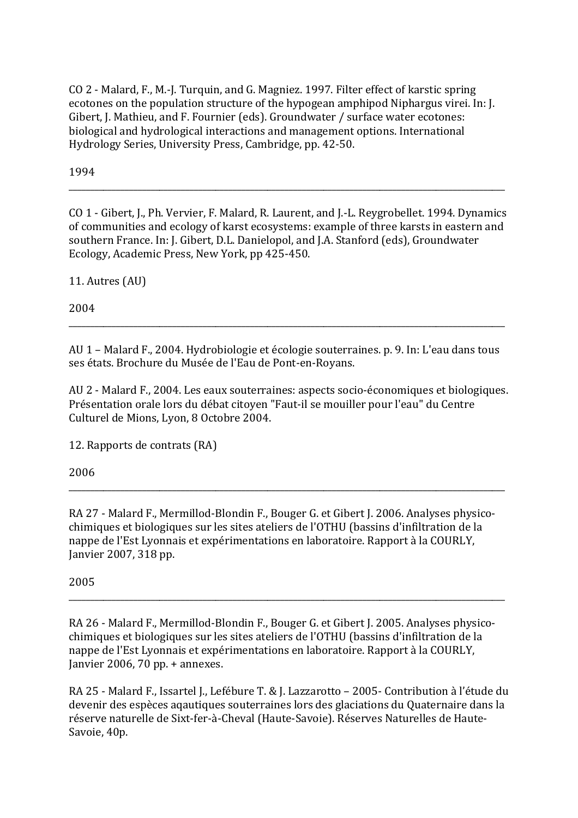CO 2 - Malard, F., M.-J. Turquin, and G. Magniez. 1997. Filter effect of karstic spring ecotones on the population structure of the hypogean amphipod Niphargus virei. In: J. Gibert, J. Mathieu, and F. Fournier (eds). Groundwater / surface water ecotones: biological and hydrological interactions and management options. International Hydrology Series, University Press, Cambridge, pp. 42-50.

1994

CO 1 - Gibert, I., Ph. Vervier, F. Malard, R. Laurent, and I.-L. Revgrobellet, 1994. Dynamics of communities and ecology of karst ecosystems; example of three karsts in eastern and southern France. In: J. Gibert, D.L. Danielopol, and J.A. Stanford (eds), Groundwater Ecology, Academic Press, New York, pp 425-450.

11. Autres (AU)

2004

AU 1 – Malard F., 2004. Hydrobiologie et écologie souterraines. p. 9. In: L'eau dans tous ses états. Brochure du Musée de l'Eau de Pont-en-Royans.

AU 2 - Malard F., 2004. Les eaux souterraines: aspects socio-économiques et biologiques. Présentation orale lors du débat citoyen "Faut-il se mouiller pour l'eau" du Centre Culturel de Mions, Lyon, 8 Octobre 2004.

12. Rapports de contrats (RA)

2006

RA 27 - Malard F., Mermillod-Blondin F., Bouger G. et Gibert J. 2006. Analyses physicochimiques et biologiques sur les sites ateliers de l'OTHU (bassins d'infiltration de la nappe de l'Est Lyonnais et expérimentations en laboratoire. Rapport à la COURLY, Janvier 2007, 318 pp.

## 2005

RA 26 - Malard F., Mermillod-Blondin F., Bouger G. et Gibert I. 2005. Analyses physicochimiques et biologiques sur les sites ateliers de l'OTHU (bassins d'infiltration de la nappe de l'Est Lyonnais et expérimentations en laboratoire. Rapport à la COURLY, Janvier 2006, 70 pp. + annexes.

RA 25 - Malard F., Issartel J., Lefébure T. & J. Lazzarotto - 2005- Contribution à l'étude du devenir des espèces agautiques souterraines lors des glaciations du Quaternaire dans la réserve naturelle de Sixt-fer-à-Cheval (Haute-Savoie). Réserves Naturelles de Haute-Savoie, 40p.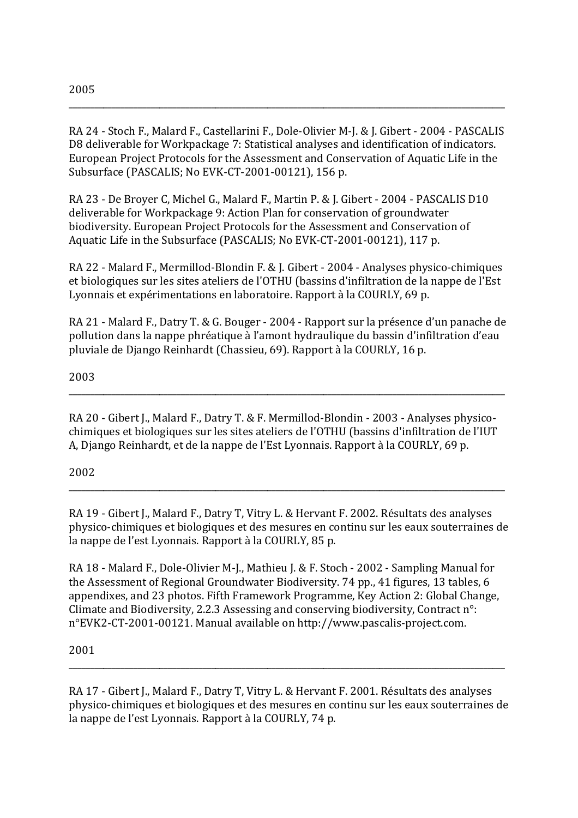RA 24 - Stoch F., Malard F., Castellarini F., Dole-Olivier M-J. & J. Gibert - 2004 - PASCALIS D8 deliverable for Workpackage 7: Statistical analyses and identification of indicators. European Project Protocols for the Assessment and Conservation of Aquatic Life in the Subsurface (PASCALIS; No EVK-CT-2001-00121), 156 p.

RA 23 - De Brover C, Michel G., Malard F., Martin P. & J. Gibert - 2004 - PASCALIS D10 deliverable for Workpackage 9: Action Plan for conservation of groundwater biodiversity. European Project Protocols for the Assessment and Conservation of Aquatic Life in the Subsurface (PASCALIS; No EVK-CT-2001-00121), 117 p.

RA 22 - Malard F., Mermillod-Blondin F. & J. Gibert - 2004 - Analyses physico-chimiques et biologiques sur les sites ateliers de l'OTHU (bassins d'infiltration de la nappe de l'Est Lyonnais et expérimentations en laboratoire. Rapport à la COURLY, 69 p.

RA 21 - Malard F., Datry T. & G. Bouger - 2004 - Rapport sur la présence d'un panache de pollution dans la nappe phréatique à l'amont hydraulique du bassin d'infiltration d'eau pluviale de Diango Reinhardt (Chassieu, 69). Rapport à la COURLY, 16 p.

2003

RA 20 - Gibert J., Malard F., Datry T. & F. Mermillod-Blondin - 2003 - Analyses physicochimiques et biologiques sur les sites ateliers de l'OTHU (bassins d'infiltration de l'IUT A, Django Reinhardt, et de la nappe de l'Est Lyonnais. Rapport à la COURLY, 69 p.

2002

RA 19 - Gibert J., Malard F., Datry T. Vitry L. & Hervant F. 2002. Résultats des analyses physico-chimiques et biologiques et des mesures en continu sur les eaux souterraines de la nappe de l'est Lyonnais. Rapport à la COURLY, 85 p.

RA 18 - Malard F., Dole-Olivier M-J., Mathieu J. & F. Stoch - 2002 - Sampling Manual for the Assessment of Regional Groundwater Biodiversity. 74 pp., 41 figures, 13 tables, 6 appendixes, and 23 photos. Fifth Framework Programme, Key Action 2: Global Change, Climate and Biodiversity, 2.2.3 Assessing and conserving biodiversity, Contract n°: n°EVK2-CT-2001-00121. Manual available on http://www.pascalis-project.com.

2001

RA 17 - Gibert J., Malard F., Datry T. Vitry L. & Hervant F. 2001. Résultats des analyses physico-chimiques et biologiques et des mesures en continu sur les eaux souterraines de la nappe de l'est Lyonnais. Rapport à la COURLY, 74 p.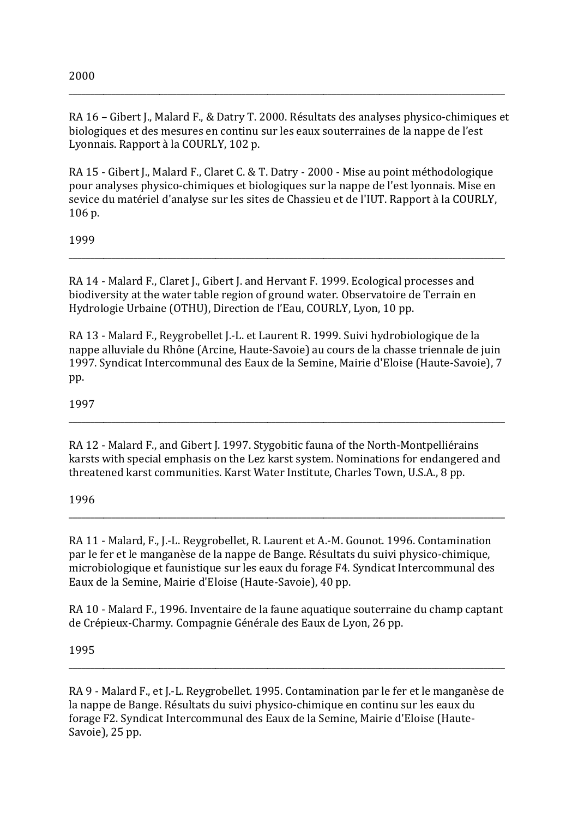RA 16 - Gibert J., Malard F., & Datry T. 2000. Résultats des analyses physico-chimiques et biologiques et des mesures en continu sur les eaux souterraines de la nappe de l'est Lyonnais. Rapport à la COURLY, 102 p.

RA 15 - Gibert J., Malard F., Claret C. & T. Datry - 2000 - Mise au point méthodologique pour analyses physico-chimiques et biologiques sur la nappe de l'est lyonnais. Mise en sevice du matériel d'analyse sur les sites de Chassieu et de l'IUT. Rapport à la COURLY, 106 p.

1999

RA 14 - Malard F., Claret J., Gibert J. and Hervant F. 1999. Ecological processes and biodiversity at the water table region of ground water. Observatoire de Terrain en Hydrologie Urbaine (OTHU), Direction de l'Eau, COURLY, Lyon, 10 pp.

RA 13 - Malard F., Revgrobellet I.-L. et Laurent R. 1999. Suivi hydrobiologique de la nappe alluviale du Rhône (Arcine, Haute-Savoie) au cours de la chasse triennale de juin 1997. Syndicat Intercommunal des Eaux de la Semine, Mairie d'Eloise (Haute-Savoie), 7 pp.

1997

RA 12 - Malard F., and Gibert J. 1997. Stygobitic fauna of the North-Montpelliérains karsts with special emphasis on the Lez karst system. Nominations for endangered and threatened karst communities. Karst Water Institute, Charles Town, U.S.A., 8 pp.

1996

RA 11 - Malard, F., J.-L. Reygrobellet, R. Laurent et A.-M. Gounot. 1996. Contamination par le fer et le manganèse de la nappe de Bange. Résultats du suivi physico-chimique, microbiologique et faunistique sur les eaux du forage F4. Syndicat Intercommunal des Eaux de la Semine, Mairie d'Eloise (Haute-Savoie), 40 pp.

RA 10 - Malard F., 1996. Inventaire de la faune aquatique souterraine du champ captant de Crépieux-Charmy. Compagnie Générale des Eaux de Lyon, 26 pp.

1995

RA 9 - Malard F., et J.-L. Reygrobellet. 1995. Contamination par le fer et le manganèse de la nappe de Bange. Résultats du suivi physico-chimique en continu sur les eaux du forage F2. Syndicat Intercommunal des Eaux de la Semine, Mairie d'Eloise (Haute-Savoie), 25 pp.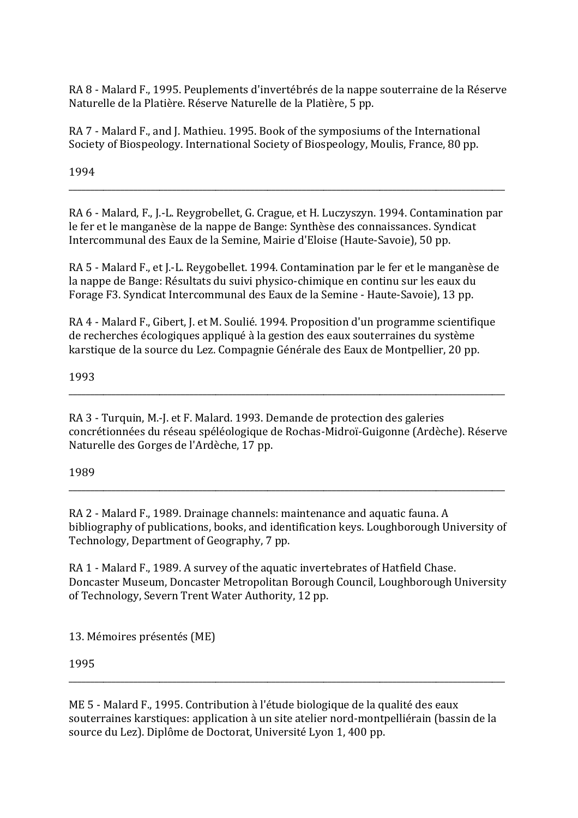RA 8 - Malard F., 1995. Peuplements d'invertébrés de la nappe souterraine de la Réserve Naturelle de la Platière. Réserve Naturelle de la Platière, 5 pp.

RA 7 - Malard F., and J. Mathieu. 1995. Book of the symposiums of the International Society of Biospeology. International Society of Biospeology, Moulis, France, 80 pp.

1994

RA 6 - Malard, F., I.-L. Revgrobellet, G. Crague, et H. Luczyszyn, 1994. Contamination par le fer et le manganèse de la nappe de Bange: Synthèse des connaissances. Syndicat Intercommunal des Eaux de la Semine, Mairie d'Eloise (Haute-Savoie), 50 pp.

RA 5 - Malard F., et J.-L. Reygobellet. 1994. Contamination par le fer et le manganèse de la nappe de Bange: Résultats du suivi physico-chimique en continu sur les eaux du Forage F3. Syndicat Intercommunal des Eaux de la Semine - Haute-Savoie), 13 pp.

RA 4 - Malard F., Gibert, J. et M. Soulié. 1994. Proposition d'un programme scientifique de recherches écologiques appliqué à la gestion des eaux souterraines du système karstique de la source du Lez. Compagnie Générale des Eaux de Montpellier, 20 pp.

1993

RA 3 - Turquin, M.-J. et F. Malard. 1993. Demande de protection des galeries concrétionnées du réseau spéléologique de Rochas-Midroï-Guigonne (Ardèche). Réserve Naturelle des Gorges de l'Ardèche, 17 pp.

1989

RA 2 - Malard F., 1989. Drainage channels: maintenance and aquatic fauna. A bibliography of publications, books, and identification keys. Loughborough University of Technology, Department of Geography, 7 pp.

RA 1 - Malard F., 1989. A survey of the aquatic invertebrates of Hatfield Chase. Doncaster Museum, Doncaster Metropolitan Borough Council, Loughborough University of Technology, Severn Trent Water Authority, 12 pp.

13. Mémoires présentés (ME)

1995

ME 5 - Malard F., 1995. Contribution à l'étude biologique de la qualité des eaux souterraines karstiques: application à un site atelier nord-montpelliérain (bassin de la source du Lez). Diplôme de Doctorat, Université Lyon 1, 400 pp.